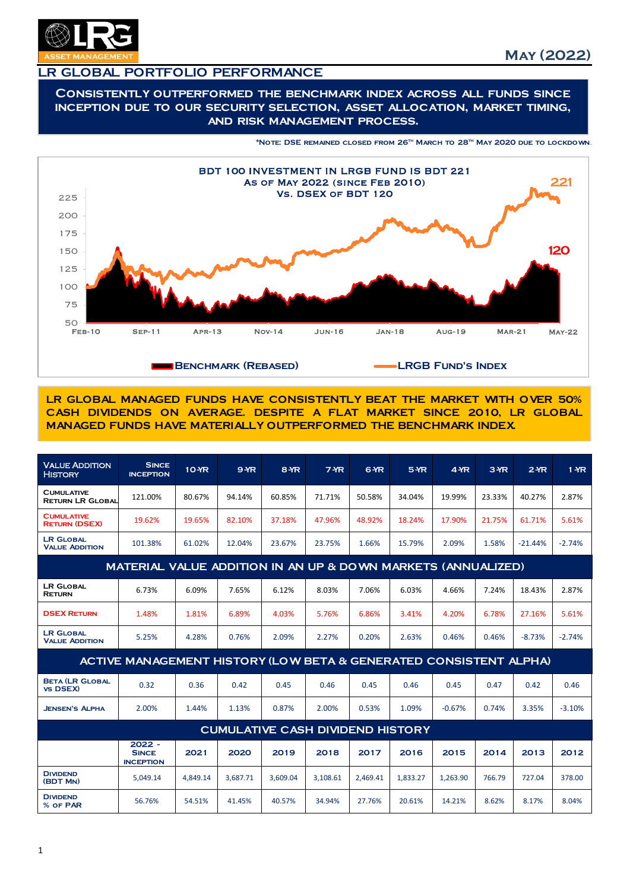

May (2022)

## LR GLOBAL PORTFOLIO PERFORMANCE

Consistently outperformed the benchmark index across all funds since inception due to our security selection, asset allocation, market timing, and risk management process.





LR GLOBAL MANAGED FUNDS HAVE CONSISTENTLY BEAT THE MARKET WITH OVER 50% CASH DIVIDENDS ON AVERAGE. DESPITE A FLAT MARKET SINCE 2010, LR GLOBAL MANAGED FUNDS HAVE MATERIALLY OUTPERFORMED THE BENCHMARK INDEX.

| <b>VALUE ADDITION</b><br><b>HISTORY</b>                           | <b>SINCE</b><br><b>INCEPTION</b>             | <b>10-YR</b> | $9$ YR   | 8 YR     | 7 <sub>YR</sub> | 6 YR     | 5 YR     | 4 <sub>YR</sub> | 3 YR   | 2MR       | $1 - \text{MR}$ |
|-------------------------------------------------------------------|----------------------------------------------|--------------|----------|----------|-----------------|----------|----------|-----------------|--------|-----------|-----------------|
| <b>CUMULATIVE</b><br><b>RETURN LR GLOBAL</b>                      | 121.00%                                      | 80.67%       | 94.14%   | 60.85%   | 71.71%          | 50.58%   | 34.04%   | 19.99%          | 23.33% | 40.27%    | 2.87%           |
| <b>CUMULATIVE</b><br><b>RETURN (DSEX)</b>                         | 19.62%                                       | 19.65%       | 82.10%   | 37.18%   | 47.96%          | 48.92%   | 18.24%   | 17.90%          | 21.75% | 61.71%    | 5.61%           |
| <b>LR GLOBAL</b><br><b>VALUE ADDITION</b>                         | 101.38%                                      | 61.02%       | 12.04%   | 23.67%   | 23.75%          | 1.66%    | 15.79%   | 2.09%           | 1.58%  | $-21.44%$ | $-2.74%$        |
| MATERIAL VALUE ADDITION IN AN UP & DOWN MARKETS (ANNUALIZED)      |                                              |              |          |          |                 |          |          |                 |        |           |                 |
| <b>LR GLOBAL</b><br><b>RETURN</b>                                 | 6.73%                                        | 6.09%        | 7.65%    | 6.12%    | 8.03%           | 7.06%    | 6.03%    | 4.66%           | 7.24%  | 18.43%    | 2.87%           |
| <b>DSEX RETURN</b>                                                | 1.48%                                        | 1.81%        | 6.89%    | 4.03%    | 5.76%           | 6.86%    | 3.41%    | 4.20%           | 6.78%  | 27.16%    | 5.61%           |
| <b>LR GLOBAL</b><br><b>VALUE ADDITION</b>                         | 5.25%                                        | 4.28%        | 0.76%    | 2.09%    | 2.27%           | 0.20%    | 2.63%    | 0.46%           | 0.46%  | $-8.73%$  | $-2.74%$        |
| ACTIVE MANAGEMENT HISTORY (LOW BETA & GENERATED CONSISTENT ALPHA) |                                              |              |          |          |                 |          |          |                 |        |           |                 |
| <b>BETA (LR GLOBAL</b><br><b>VS DSEX)</b>                         | 0.32                                         | 0.36         | 0.42     | 0.45     | 0.46            | 0.45     | 0.46     | 0.45            | 0.47   | 0.42      | 0.46            |
| <b>JENSEN'S ALPHA</b>                                             | 2.00%                                        | 1.44%        | 1.13%    | 0.87%    | 2.00%           | 0.53%    | 1.09%    | $-0.67%$        | 0.74%  | 3.35%     | $-3.10%$        |
| <b>CUMULATIVE CASH DIVIDEND HISTORY</b>                           |                                              |              |          |          |                 |          |          |                 |        |           |                 |
|                                                                   | $2022 -$<br><b>SINCE</b><br><b>INCEPTION</b> | 2021         | 2020     | 2019     | 2018            | 2017     | 2016     | 2015            | 2014   | 2013      | 2012            |
| <b>DIVIDEND</b><br>(BDT MN)                                       | 5,049.14                                     | 4,849.14     | 3,687.71 | 3.609.04 | 3,108.61        | 2.469.41 | 1,833.27 | 1,263.90        | 766.79 | 727.04    | 378.00          |
| <b>DIVIDEND</b><br>% OF PAR                                       | 56.76%                                       | 54.51%       | 41.45%   | 40.57%   | 34.94%          | 27.76%   | 20.61%   | 14.21%          | 8.62%  | 8.17%     | 8.04%           |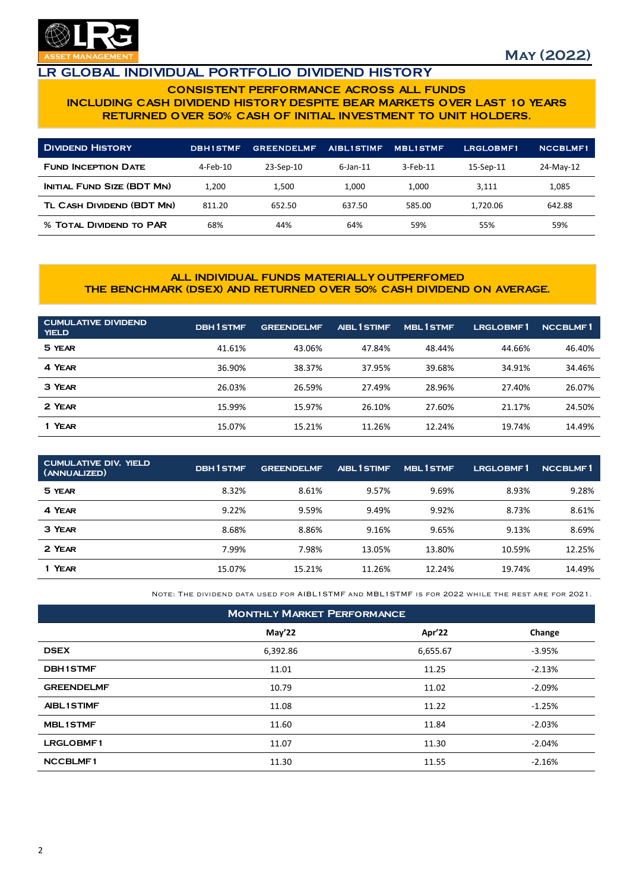

## LR GLOBAL INDIVIDUAL PORTFOLIO DIVIDEND HISTORY

### CONSISTENT PERFORMANCE ACROSS ALL FUNDS INCLUDING CASH DIVIDEND HISTORY DESPITE BEAR MARKETS OVER LAST 10 YEARS RETURNED OVER 50% CASH OF INITIAL INVESTMENT TO UNIT HOLDERS.

| <b>DIVIDEND HISTORY</b>        | <b>DBHISTMF</b> | <b>GREENDELMF</b> | <b>AIBL1STIMF</b> | <b>MBLISTMF</b> | <b>LRGLOBMF1</b> | <b>NCCBLMF1</b> |
|--------------------------------|-----------------|-------------------|-------------------|-----------------|------------------|-----------------|
| <b>FUND INCEPTION DATE</b>     | 4-Feb-10        | 23-Sep-10         | $6$ -Jan-11       | $3$ -Feb-11     | 15-Sep-11        | 24-May-12       |
| INITIAL FUND SIZE (BDT MN)     | 1.200           | 1.500             | 1.000             | 1.000           | 3.111            | 1,085           |
| TL CASH DIVIDEND (BDT MN)      | 811.20          | 652.50            | 637.50            | 585.00          | 1.720.06         | 642.88          |
| <b>% TOTAL DIVIDEND TO PAR</b> | 68%             | 44%               | 64%               | 59%             | 55%              | 59%             |

#### ALL INDIVIDUAL FUNDS MATERIALLY OUTPERFOMED THE BENCHMARK (DSEX) AND RETURNED OVER 50% CASH DIVIDEND ON AVERAGE.

| <b>CUMULATIVE DIVIDEND</b><br><b>YIELD</b> | <b>DBH1STMF</b> | <b>GREENDELMF</b> | <b>AIBL ISTIMF</b> | <b>MBL1STMF</b> | LRGLOBMF1 | <b>NCCBLMF1</b> |
|--------------------------------------------|-----------------|-------------------|--------------------|-----------------|-----------|-----------------|
| 5 YEAR                                     | 41.61%          | 43.06%            | 47.84%             | 48.44%          | 44.66%    | 46.40%          |
| 4 YEAR                                     | 36.90%          | 38.37%            | 37.95%             | 39.68%          | 34.91%    | 34.46%          |
| 3 YEAR                                     | 26.03%          | 26.59%            | 27.49%             | 28.96%          | 27.40%    | 26.07%          |
| 2 YEAR                                     | 15.99%          | 15.97%            | 26.10%             | 27.60%          | 21.17%    | 24.50%          |
| 1 YEAR                                     | 15.07%          | 15.21%            | 11.26%             | 12.24%          | 19.74%    | 14.49%          |

| <b>CUMULATIVE DIV. YIELD</b><br>(ANNUALIZED) | <b>DBH1STMF</b> | <b>GREENDELMF</b> | <b>AIBL ISTIMF</b> | <b>MBL1STMF</b> | LRGLOBMF1 | <b>NCCBLMF1</b> |
|----------------------------------------------|-----------------|-------------------|--------------------|-----------------|-----------|-----------------|
| 5 YEAR                                       | 8.32%           | 8.61%             | 9.57%              | 9.69%           | 8.93%     | 9.28%           |
| 4 YEAR                                       | 9.22%           | 9.59%             | 9.49%              | 9.92%           | 8.73%     | 8.61%           |
| 3 YEAR                                       | 8.68%           | 8.86%             | 9.16%              | 9.65%           | 9.13%     | 8.69%           |
| 2 YEAR                                       | 7.99%           | 7.98%             | 13.05%             | 13.80%          | 10.59%    | 12.25%          |
| 1 YEAR                                       | 15.07%          | 15.21%            | 11.26%             | 12.24%          | 19.74%    | 14.49%          |

Note: The dividend data used for AIBL1STMF and MBL1STMF is for 2022 while the rest are for 2021.

| <b>MONTHLY MARKET PERFORMANCE</b> |          |          |          |  |  |  |
|-----------------------------------|----------|----------|----------|--|--|--|
|                                   | May'22   | Apr'22   | Change   |  |  |  |
| <b>DSEX</b>                       | 6,392.86 | 6,655.67 | $-3.95%$ |  |  |  |
| <b>DBH1STMF</b>                   | 11.01    | 11.25    | $-2.13%$ |  |  |  |
| <b>GREENDELMF</b>                 | 10.79    | 11.02    | $-2.09%$ |  |  |  |
| <b>AIBL1STIMF</b>                 | 11.08    | 11.22    | $-1.25%$ |  |  |  |
| <b>MBL1STMF</b>                   | 11.60    | 11.84    | $-2.03%$ |  |  |  |
| <b>LRGLOBMF1</b>                  | 11.07    | 11.30    | $-2.04%$ |  |  |  |
| <b>NCCBLMF1</b>                   | 11.30    | 11.55    | $-2.16%$ |  |  |  |